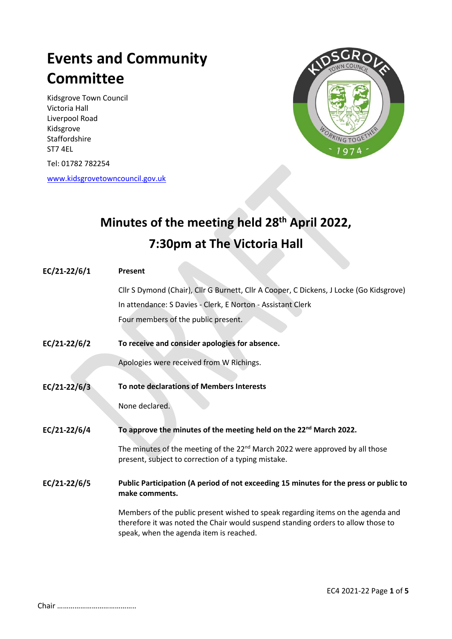# **Events and Community Committee**

Kidsgrove Town Council Victoria Hall Liverpool Road Kidsgrove Staffordshire ST7 4EL

Tel: 01782 782254

[www.kidsgrovetowncouncil.gov.uk](http://www.kidsgrovetowncouncil.gov.uk/)



# **Minutes of the meeting held 28 th April 2022, 7:30pm at The Victoria Hall**

| $EC/21-22/6/1$ | Present                                                                                                                                                                                                        |
|----------------|----------------------------------------------------------------------------------------------------------------------------------------------------------------------------------------------------------------|
|                | Cllr S Dymond (Chair), Cllr G Burnett, Cllr A Cooper, C Dickens, J Locke (Go Kidsgrove)                                                                                                                        |
|                | In attendance: S Davies - Clerk, E Norton - Assistant Clerk                                                                                                                                                    |
|                | Four members of the public present.                                                                                                                                                                            |
| $EC/21-22/6/2$ | To receive and consider apologies for absence.                                                                                                                                                                 |
|                | Apologies were received from W Richings.                                                                                                                                                                       |
| $EC/21-22/6/3$ | To note declarations of Members Interests                                                                                                                                                                      |
|                | None declared.                                                                                                                                                                                                 |
| EC/21-22/6/4   | To approve the minutes of the meeting held on the 22 <sup>nd</sup> March 2022.                                                                                                                                 |
|                | The minutes of the meeting of the 22 <sup>nd</sup> March 2022 were approved by all those<br>present, subject to correction of a typing mistake.                                                                |
| EC/21-22/6/5   | Public Participation (A period of not exceeding 15 minutes for the press or public to<br>make comments.                                                                                                        |
|                | Members of the public present wished to speak regarding items on the agenda and<br>therefore it was noted the Chair would suspend standing orders to allow those to<br>speak, when the agenda item is reached. |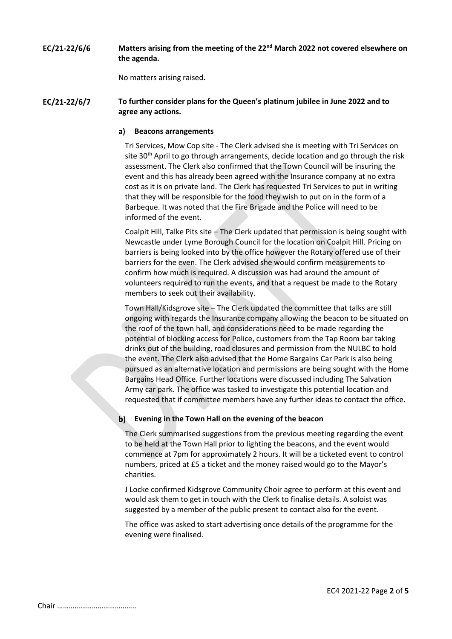## EC/21-22/6/6 **Matters arising from the meeting of the 22nd March 2022 not covered elsewhere on the agenda.**

No matters arising raised.

## EC/21-22/6/7 **To further consider plans for the Queen's platinum jubilee in June 2022 and to agree any actions.**

## **Beacons arrangements**

Tri Services, Mow Cop site - The Clerk advised she is meeting with Tri Services on site 30<sup>th</sup> April to go through arrangements, decide location and go through the risk assessment. The Clerk also confirmed that the Town Council will be insuring the event and this has already been agreed with the Insurance company at no extra cost as it is on private land. The Clerk has requested Tri Services to put in writing that they will be responsible for the food they wish to put on in the form of a Barbeque. It was noted that the Fire Brigade and the Police will need to be informed of the event.

Coalpit Hill, Talke Pits site – The Clerk updated that permission is being sought with Newcastle under Lyme Borough Council for the location on Coalpit Hill. Pricing on barriers is being looked into by the office however the Rotary offered use of their barriers for the even. The Clerk advised she would confirm measurements to confirm how much is required. A discussion was had around the amount of volunteers required to run the events, and that a request be made to the Rotary members to seek out their availability.

Town Hall/Kidsgrove site – The Clerk updated the committee that talks are still ongoing with regards the Insurance company allowing the beacon to be situated on the roof of the town hall, and considerations need to be made regarding the potential of blocking access for Police, customers from the Tap Room bar taking drinks out of the building, road closures and permission from the NULBC to hold the event. The Clerk also advised that the Home Bargains Car Park is also being pursued as an alternative location and permissions are being sought with the Home Bargains Head Office. Further locations were discussed including The Salvation Army car park. The office was tasked to investigate this potential location and requested that if committee members have any further ideas to contact the office.

#### $\mathbf{b}$ **Evening in the Town Hall on the evening of the beacon**

The Clerk summarised suggestions from the previous meeting regarding the event to be held at the Town Hall prior to lighting the beacons, and the event would commence at 7pm for approximately 2 hours. It will be a ticketed event to control numbers, priced at £5 a ticket and the money raised would go to the Mayor's charities.

J Locke confirmed Kidsgrove Community Choir agree to perform at this event and would ask them to get in touch with the Clerk to finalise details. A soloist was suggested by a member of the public present to contact also for the event.

The office was asked to start advertising once details of the programme for the evening were finalised.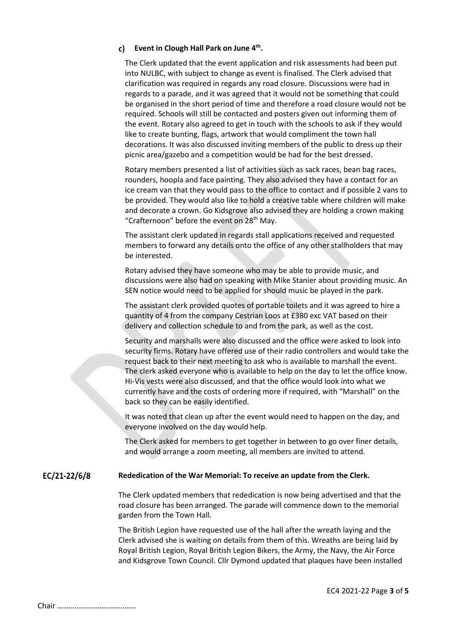# **Event in Clough Hall Park on June 4th .**

The Clerk updated that the event application and risk assessments had been put into NULBC, with subject to change as event is finalised. The Clerk advised that clarification was required in regards any road closure. Discussions were had in regards to a parade, and it was agreed that it would not be something that could be organised in the short period of time and therefore a road closure would not be required. Schools will still be contacted and posters given out informing them of the event. Rotary also agreed to get in touch with the schools to ask if they would like to create bunting, flags, artwork that would compliment the town hall decorations. It was also discussed inviting members of the public to dress up their picnic area/gazebo and a competition would be had for the best dressed.

Rotary members presented a list of activities such as sack races, bean bag races, rounders, hoopla and face painting. They also advised they have a contact for an ice cream van that they would pass to the office to contact and if possible 2 vans to be provided. They would also like to hold a creative table where children will make and decorate a crown. Go Kidsgrove also advised they are holding a crown making "Crafternoon" before the event on 28<sup>th</sup> May.

The assistant clerk updated in regards stall applications received and requested members to forward any details onto the office of any other stallholders that may be interested.

Rotary advised they have someone who may be able to provide music, and discussions were also had on speaking with Mike Stanier about providing music. An SEN notice would need to be applied for should music be played in the park.

The assistant clerk provided quotes of portable toilets and it was agreed to hire a quantity of 4 from the company Cestrian Loos at £380 exc VAT based on their delivery and collection schedule to and from the park, as well as the cost.

Security and marshalls were also discussed and the office were asked to look into security firms. Rotary have offered use of their radio controllers and would take the request back to their next meeting to ask who is available to marshall the event. The clerk asked everyone who is available to help on the day to let the office know. Hi-Vis vests were also discussed, and that the office would look into what we currently have and the costs of ordering more if required, with "Marshall" on the back so they can be easily identified.

It was noted that clean up after the event would need to happen on the day, and everyone involved on the day would help.

The Clerk asked for members to get together in between to go over finer details, and would arrange a zoom meeting, all members are invited to attend.

#### EC/21-22/6/8 **Rededication of the War Memorial: To receive an update from the Clerk.**

The Clerk updated members that rededication is now being advertised and that the road closure has been arranged. The parade will commence down to the memorial garden from the Town Hall.

The British Legion have requested use of the hall after the wreath laying and the Clerk advised she is waiting on details from them of this. Wreaths are being laid by Royal British Legion, Royal British Legion Bikers, the Army, the Navy, the Air Force and Kidsgrove Town Council. Cllr Dymond updated that plaques have been installed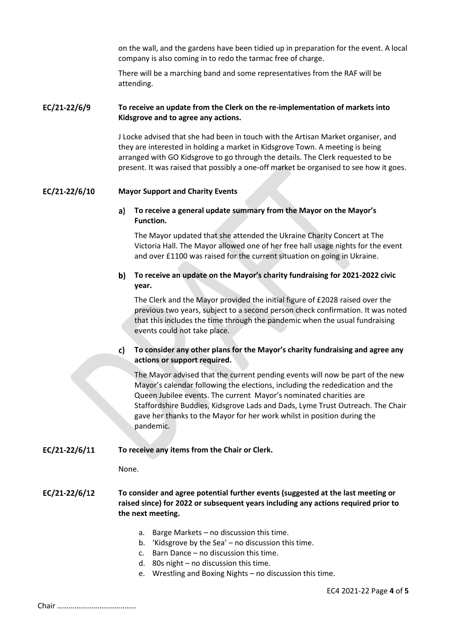on the wall, and the gardens have been tidied up in preparation for the event. A local company is also coming in to redo the tarmac free of charge.

There will be a marching band and some representatives from the RAF will be attending.

### EC/21-22/6/9 **To receive an update from the Clerk on the re-implementation of markets into Kidsgrove and to agree any actions.**

J Locke advised that she had been in touch with the Artisan Market organiser, and they are interested in holding a market in Kidsgrove Town. A meeting is being arranged with GO Kidsgrove to go through the details. The Clerk requested to be present. It was raised that possibly a one-off market be organised to see how it goes.

#### EC/21-22/6/10 **Mayor Support and Charity Events**

## a) **To receive a general update summary from the Mayor on the Mayor's Function.**

The Mayor updated that she attended the Ukraine Charity Concert at The Victoria Hall. The Mayor allowed one of her free hall usage nights for the event and over £1100 was raised for the current situation on going in Ukraine.

# **To receive an update on the Mayor's charity fundraising for 2021-2022 civic year.**

The Clerk and the Mayor provided the initial figure of £2028 raised over the previous two years, subject to a second person check confirmation. It was noted that this includes the time through the pandemic when the usual fundraising events could not take place.

# **To consider any other plans for the Mayor's charity fundraising and agree any actions or support required.**

The Mayor advised that the current pending events will now be part of the new Mayor's calendar following the elections, including the rededication and the Queen Jubilee events. The current Mayor's nominated charities are Staffordshire Buddies, Kidsgrove Lads and Dads, Lyme Trust Outreach. The Chair gave her thanks to the Mayor for her work whilst in position during the pandemic.

#### EC/21-22/6/11 **To receive any items from the Chair or Clerk.**

None.

## EC/21-22/6/12 **To consider and agree potential further events (suggested at the last meeting or raised since) for 2022 or subsequent years including any actions required prior to the next meeting.**

- a. Barge Markets no discussion this time.
- b. 'Kidsgrove by the Sea' no discussion this time.
- c. Barn Dance no discussion this time.
- d. 80s night no discussion this time.
- e. Wrestling and Boxing Nights no discussion this time.